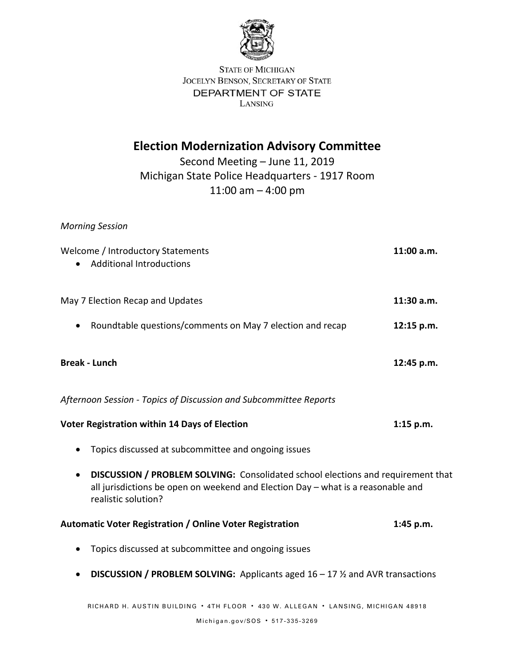

**STATE OF MICHIGAN** JOCELYN BENSON, SECRETARY OF STATE DEPARTMENT OF STATE LANSING

## **Election Modernization Advisory Committee**

Second Meeting – June 11, 2019 Michigan State Police Headquarters - 1917 Room 11:00 am – 4:00 pm

*Morning Session*

| Welcome / Introductory Statements                                                                                                                                                                        | 11:00 a.m.  |
|----------------------------------------------------------------------------------------------------------------------------------------------------------------------------------------------------------|-------------|
| <b>Additional Introductions</b>                                                                                                                                                                          |             |
| May 7 Election Recap and Updates                                                                                                                                                                         | 11:30 a.m.  |
| Roundtable questions/comments on May 7 election and recap                                                                                                                                                | 12:15 p.m.  |
| <b>Break - Lunch</b>                                                                                                                                                                                     | 12:45 p.m.  |
| Afternoon Session - Topics of Discussion and Subcommittee Reports                                                                                                                                        |             |
| Voter Registration within 14 Days of Election                                                                                                                                                            | $1:15$ p.m. |
| Topics discussed at subcommittee and ongoing issues                                                                                                                                                      |             |
| DISCUSSION / PROBLEM SOLVING: Consolidated school elections and requirement that<br>$\bullet$<br>all jurisdictions be open on weekend and Election Day - what is a reasonable and<br>realistic solution? |             |
| Automatic Voter Registration / Online Voter Registration                                                                                                                                                 | 1:45 p.m.   |
| Topics discussed at subcommittee and ongoing issues                                                                                                                                                      |             |
| <b>DISCUSSION / PROBLEM SOLVING:</b> Applicants aged $16 - 17$ % and AVR transactions                                                                                                                    |             |
| RICHARD H. AUSTIN BUILDING · 4TH FLOOR · 430 W. ALLEGAN · LANSING, MICHIGAN 48918                                                                                                                        |             |